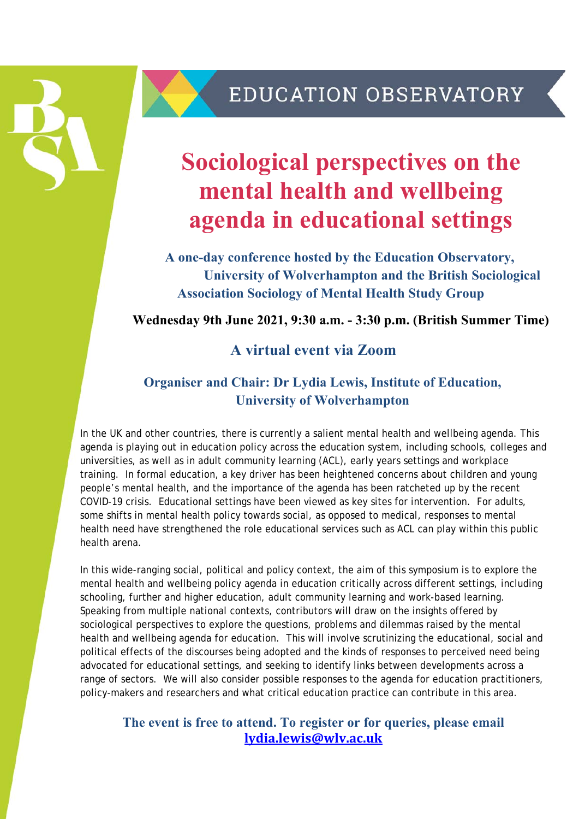

# **Sociological perspectives on the mental health and wellbeing agenda in educational settings**

**A one-day conference hosted by the Education Observatory, University of Wolverhampton and the British Sociological Association Sociology of Mental Health Study Group** 

**Wednesday 9th June 2021, 9:30 a.m. - 3:30 p.m. (British Summer Time)** 

## **A virtual event via Zoom**

## **Organiser and Chair: Dr Lydia Lewis, Institute of Education, University of Wolverhampton**

In the UK and other countries, there is currently a salient mental health and wellbeing agenda. This agenda is playing out in education policy across the education system, including schools, colleges and universities, as well as in adult community learning (ACL), early years settings and workplace training. In formal education, a key driver has been heightened concerns about children and young people's mental health, and the importance of the agenda has been ratcheted up by the recent COVID-19 crisis. Educational settings have been viewed as key sites for intervention. For adults, some shifts in mental health policy towards social, as opposed to medical, responses to mental health need have strengthened the role educational services such as ACL can play within this public health arena.

In this wide-ranging social, political and policy context, the aim of this symposium is to explore the mental health and wellbeing policy agenda in education critically across different settings, including schooling, further and higher education, adult community learning and work-based learning. Speaking from multiple national contexts, contributors will draw on the insights offered by sociological perspectives to explore the questions, problems and dilemmas raised by the mental health and wellbeing agenda for education. This will involve scrutinizing the educational, social and political effects of the discourses being adopted and the kinds of responses to perceived need being advocated for educational settings, and seeking to identify links between developments across a range of sectors. We will also consider possible responses to the agenda for education practitioners, policy-makers and researchers and what critical education practice can contribute in this area.

### **The event is free to attend. To register or for queries, please email lydia.lewis@wlv.ac.uk**